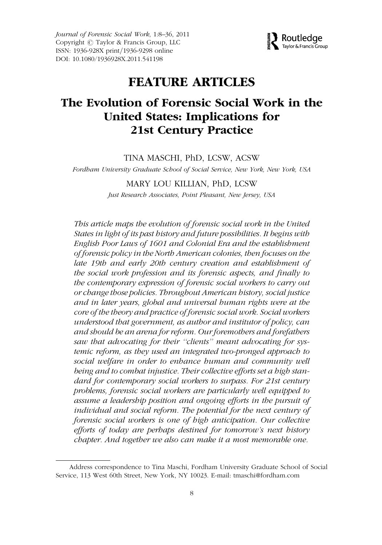Journal of Forensic Social Work, 1:8–36, 2011 Copyright  $\odot$  Taylor & Francis Group, LLC ISSN: 1936-928X print/1936-9298 online DOI: 10.1080/1936928X.2011.541198



# FEATURE ARTICLES

# The Evolution of Forensic Social Work in the United States: Implications for 21st Century Practice

## TINA MASCHI, PhD, LCSW, ACSW

Fordham University Graduate School of Social Service, New York, New York, USA

# MARY LOU KILLIAN, PhD, LCSW

Just Research Associates, Point Pleasant, New Jersey, USA

This article maps the evolution of forensic social work in the United States in light of its past history and future possibilities. It begins with English Poor Laws of 1601 and Colonial Era and the establishment of forensic policy in the North American colonies, then focuses on the late 19th and early 20th century creation and establishment of the social work profession and its forensic aspects, and finally to the contemporary expression of forensic social workers to carry out or change those policies. Throughout American history, social justice and in later years, global and universal human rights were at the core of the theory and practice of forensic social work. Social workers understood that government, as author and institutor of policy, can and should be an arena for reform. Our foremothers and forefathers saw that advocating for their "clients" meant advocating for systemic reform, as they used an integrated two-pronged approach to social welfare in order to enhance human and community well being and to combat injustice. Their collective efforts set a high standard for contemporary social workers to surpass. For 21st century problems, forensic social workers are particularly well equipped to assume a leadership position and ongoing efforts in the pursuit of individual and social reform. The potential for the next century of forensic social workers is one of high anticipation. Our collective efforts of today are perhaps destined for tomorrow's next history chapter. And together we also can make it a most memorable one.

Address correspondence to Tina Maschi, Fordham University Graduate School of Social Service, 113 West 60th Street, New York, NY 10023. E-mail: tmaschi@fordham.com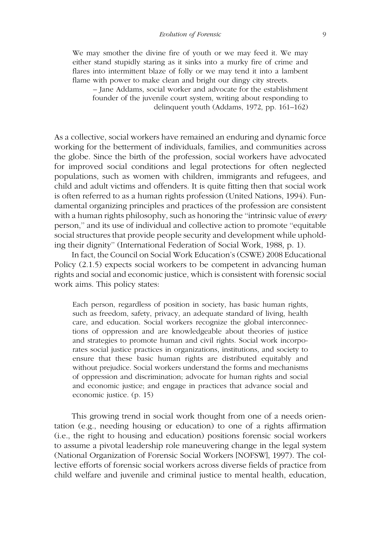#### Evolution of Forensic 9

We may smother the divine fire of youth or we may feed it. We may either stand stupidly staring as it sinks into a murky fire of crime and flares into intermittent blaze of folly or we may tend it into a lambent flame with power to make clean and bright our dingy city streets.

– Jane Addams, social worker and advocate for the establishment founder of the juvenile court system, writing about responding to delinquent youth (Addams, 1972, pp. 161–162)

As a collective, social workers have remained an enduring and dynamic force working for the betterment of individuals, families, and communities across the globe. Since the birth of the profession, social workers have advocated for improved social conditions and legal protections for often neglected populations, such as women with children, immigrants and refugees, and child and adult victims and offenders. It is quite fitting then that social work is often referred to as a human rights profession (United Nations, 1994). Fundamental organizing principles and practices of the profession are consistent with a human rights philosophy, such as honoring the "intrinsic value of *every* person,'' and its use of individual and collective action to promote ''equitable social structures that provide people security and development while upholding their dignity'' (International Federation of Social Work, 1988, p. 1).

In fact, the Council on Social Work Education's (CSWE) 2008 Educational Policy (2.1.5) expects social workers to be competent in advancing human rights and social and economic justice, which is consistent with forensic social work aims. This policy states:

Each person, regardless of position in society, has basic human rights, such as freedom, safety, privacy, an adequate standard of living, health care, and education. Social workers recognize the global interconnections of oppression and are knowledgeable about theories of justice and strategies to promote human and civil rights. Social work incorporates social justice practices in organizations, institutions, and society to ensure that these basic human rights are distributed equitably and without prejudice. Social workers understand the forms and mechanisms of oppression and discrimination; advocate for human rights and social and economic justice; and engage in practices that advance social and economic justice. (p. 15)

This growing trend in social work thought from one of a needs orientation (e.g., needing housing or education) to one of a rights affirmation (i.e., the right to housing and education) positions forensic social workers to assume a pivotal leadership role maneuvering change in the legal system (National Organization of Forensic Social Workers [NOFSW], 1997). The collective efforts of forensic social workers across diverse fields of practice from child welfare and juvenile and criminal justice to mental health, education,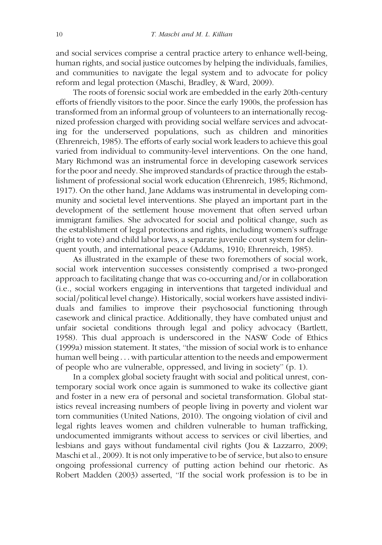and social services comprise a central practice artery to enhance well-being, human rights, and social justice outcomes by helping the individuals, families, and communities to navigate the legal system and to advocate for policy reform and legal protection (Maschi, Bradley, & Ward, 2009).

The roots of forensic social work are embedded in the early 20th-century efforts of friendly visitors to the poor. Since the early 1900s, the profession has transformed from an informal group of volunteers to an internationally recognized profession charged with providing social welfare services and advocating for the underserved populations, such as children and minorities (Ehrenreich, 1985). The efforts of early social work leaders to achieve this goal varied from individual to community-level interventions. On the one hand, Mary Richmond was an instrumental force in developing casework services for the poor and needy. She improved standards of practice through the establishment of professional social work education (Ehrenreich, 1985; Richmond, 1917). On the other hand, Jane Addams was instrumental in developing community and societal level interventions. She played an important part in the development of the settlement house movement that often served urban immigrant families. She advocated for social and political change, such as the establishment of legal protections and rights, including women's suffrage (right to vote) and child labor laws, a separate juvenile court system for delinquent youth, and international peace (Addams, 1910; Ehrenreich, 1985).

As illustrated in the example of these two foremothers of social work, social work intervention successes consistently comprised a two-pronged approach to facilitating change that was co-occurring and/or in collaboration (i.e., social workers engaging in interventions that targeted individual and social/political level change). Historically, social workers have assisted individuals and families to improve their psychosocial functioning through casework and clinical practice. Additionally, they have combated unjust and unfair societal conditions through legal and policy advocacy (Bartlett, 1958). This dual approach is underscored in the NASW Code of Ethics (1999a) mission statement. It states, ''the mission of social work is to enhance human well being ... with particular attention to the needs and empowerment of people who are vulnerable, oppressed, and living in society'' (p. 1).

In a complex global society fraught with social and political unrest, contemporary social work once again is summoned to wake its collective giant and foster in a new era of personal and societal transformation. Global statistics reveal increasing numbers of people living in poverty and violent war torn communities (United Nations, 2010). The ongoing violation of civil and legal rights leaves women and children vulnerable to human trafficking, undocumented immigrants without access to services or civil liberties, and lesbians and gays without fundamental civil rights (Jou & Lazzarro, 2009; Maschi et al., 2009). It is not only imperative to be of service, but also to ensure ongoing professional currency of putting action behind our rhetoric. As Robert Madden (2003) asserted, ''If the social work profession is to be in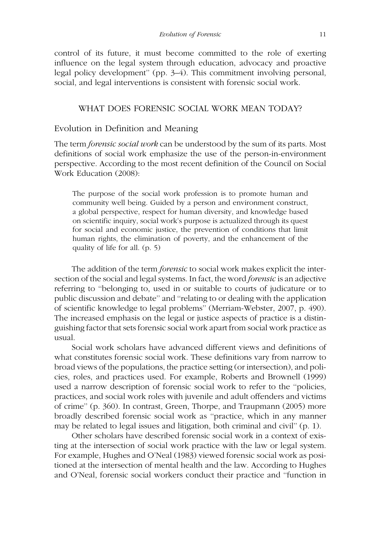control of its future, it must become committed to the role of exerting influence on the legal system through education, advocacy and proactive legal policy development'' (pp. 3–4). This commitment involving personal, social, and legal interventions is consistent with forensic social work.

# WHAT DOES FORENSIC SOCIAL WORK MEAN TODAY?

# Evolution in Definition and Meaning

The term *forensic social work* can be understood by the sum of its parts. Most definitions of social work emphasize the use of the person-in-environment perspective. According to the most recent definition of the Council on Social Work Education (2008):

The purpose of the social work profession is to promote human and community well being. Guided by a person and environment construct, a global perspective, respect for human diversity, and knowledge based on scientific inquiry, social work's purpose is actualized through its quest for social and economic justice, the prevention of conditions that limit human rights, the elimination of poverty, and the enhancement of the quality of life for all. (p. 5)

The addition of the term *forensic* to social work makes explicit the intersection of the social and legal systems. In fact, the word forensic is an adjective referring to ''belonging to, used in or suitable to courts of judicature or to public discussion and debate'' and ''relating to or dealing with the application of scientific knowledge to legal problems'' (Merriam-Webster, 2007, p. 490). The increased emphasis on the legal or justice aspects of practice is a distinguishing factor that sets forensic social work apart from social work practice as usual.

Social work scholars have advanced different views and definitions of what constitutes forensic social work. These definitions vary from narrow to broad views of the populations, the practice setting (or intersection), and policies, roles, and practices used. For example, Roberts and Brownell (1999) used a narrow description of forensic social work to refer to the ''policies, practices, and social work roles with juvenile and adult offenders and victims of crime'' (p. 360). In contrast, Green, Thorpe, and Traupmann (2005) more broadly described forensic social work as ''practice, which in any manner may be related to legal issues and litigation, both criminal and civil'' (p. 1).

Other scholars have described forensic social work in a context of existing at the intersection of social work practice with the law or legal system. For example, Hughes and O'Neal (1983) viewed forensic social work as positioned at the intersection of mental health and the law. According to Hughes and O'Neal, forensic social workers conduct their practice and ''function in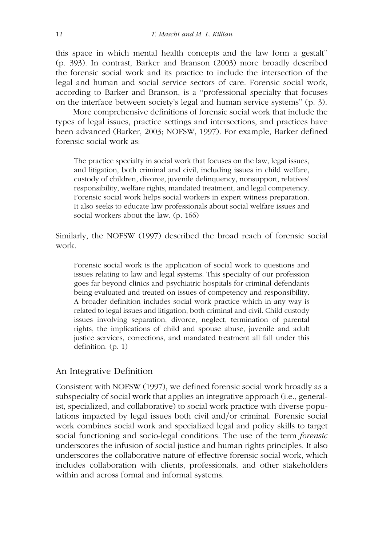this space in which mental health concepts and the law form a gestalt'' (p. 393). In contrast, Barker and Branson (2003) more broadly described the forensic social work and its practice to include the intersection of the legal and human and social service sectors of care. Forensic social work, according to Barker and Branson, is a ''professional specialty that focuses on the interface between society's legal and human service systems'' (p. 3).

More comprehensive definitions of forensic social work that include the types of legal issues, practice settings and intersections, and practices have been advanced (Barker, 2003; NOFSW, 1997). For example, Barker defined forensic social work as:

The practice specialty in social work that focuses on the law, legal issues, and litigation, both criminal and civil, including issues in child welfare, custody of children, divorce, juvenile delinquency, nonsupport, relatives' responsibility, welfare rights, mandated treatment, and legal competency. Forensic social work helps social workers in expert witness preparation. It also seeks to educate law professionals about social welfare issues and social workers about the law. (p. 166)

Similarly, the NOFSW (1997) described the broad reach of forensic social work.

Forensic social work is the application of social work to questions and issues relating to law and legal systems. This specialty of our profession goes far beyond clinics and psychiatric hospitals for criminal defendants being evaluated and treated on issues of competency and responsibility. A broader definition includes social work practice which in any way is related to legal issues and litigation, both criminal and civil. Child custody issues involving separation, divorce, neglect, termination of parental rights, the implications of child and spouse abuse, juvenile and adult justice services, corrections, and mandated treatment all fall under this definition. (p. 1)

# An Integrative Definition

Consistent with NOFSW (1997), we defined forensic social work broadly as a subspecialty of social work that applies an integrative approach (i.e., generalist, specialized, and collaborative) to social work practice with diverse populations impacted by legal issues both civil and/or criminal. Forensic social work combines social work and specialized legal and policy skills to target social functioning and socio-legal conditions. The use of the term forensic underscores the infusion of social justice and human rights principles. It also underscores the collaborative nature of effective forensic social work, which includes collaboration with clients, professionals, and other stakeholders within and across formal and informal systems.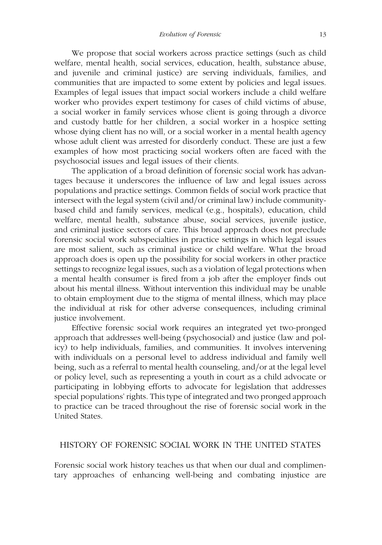We propose that social workers across practice settings (such as child welfare, mental health, social services, education, health, substance abuse, and juvenile and criminal justice) are serving individuals, families, and communities that are impacted to some extent by policies and legal issues. Examples of legal issues that impact social workers include a child welfare worker who provides expert testimony for cases of child victims of abuse, a social worker in family services whose client is going through a divorce and custody battle for her children, a social worker in a hospice setting whose dying client has no will, or a social worker in a mental health agency whose adult client was arrested for disorderly conduct. These are just a few examples of how most practicing social workers often are faced with the psychosocial issues and legal issues of their clients.

The application of a broad definition of forensic social work has advantages because it underscores the influence of law and legal issues across populations and practice settings. Common fields of social work practice that intersect with the legal system (civil and/or criminal law) include communitybased child and family services, medical (e.g., hospitals), education, child welfare, mental health, substance abuse, social services, juvenile justice, and criminal justice sectors of care. This broad approach does not preclude forensic social work subspecialties in practice settings in which legal issues are most salient, such as criminal justice or child welfare. What the broad approach does is open up the possibility for social workers in other practice settings to recognize legal issues, such as a violation of legal protections when a mental health consumer is fired from a job after the employer finds out about his mental illness. Without intervention this individual may be unable to obtain employment due to the stigma of mental illness, which may place the individual at risk for other adverse consequences, including criminal justice involvement.

Effective forensic social work requires an integrated yet two-pronged approach that addresses well-being (psychosocial) and justice (law and policy) to help individuals, families, and communities. It involves intervening with individuals on a personal level to address individual and family well being, such as a referral to mental health counseling, and/or at the legal level or policy level, such as representing a youth in court as a child advocate or participating in lobbying efforts to advocate for legislation that addresses special populations' rights. This type of integrated and two pronged approach to practice can be traced throughout the rise of forensic social work in the United States.

# HISTORY OF FORENSIC SOCIAL WORK IN THE UNITED STATES

Forensic social work history teaches us that when our dual and complimentary approaches of enhancing well-being and combating injustice are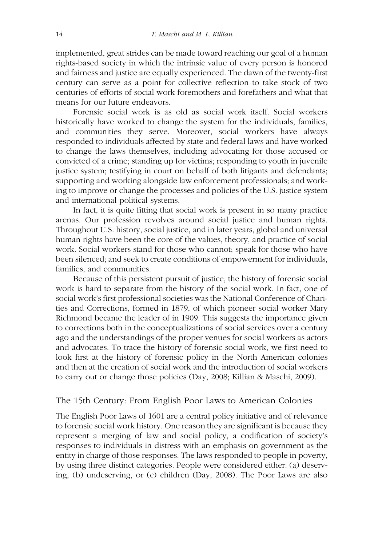implemented, great strides can be made toward reaching our goal of a human rights-based society in which the intrinsic value of every person is honored and fairness and justice are equally experienced. The dawn of the twenty-first century can serve as a point for collective reflection to take stock of two centuries of efforts of social work foremothers and forefathers and what that means for our future endeavors.

Forensic social work is as old as social work itself. Social workers historically have worked to change the system for the individuals, families, and communities they serve. Moreover, social workers have always responded to individuals affected by state and federal laws and have worked to change the laws themselves, including advocating for those accused or convicted of a crime; standing up for victims; responding to youth in juvenile justice system; testifying in court on behalf of both litigants and defendants; supporting and working alongside law enforcement professionals; and working to improve or change the processes and policies of the U.S. justice system and international political systems.

In fact, it is quite fitting that social work is present in so many practice arenas. Our profession revolves around social justice and human rights. Throughout U.S. history, social justice, and in later years, global and universal human rights have been the core of the values, theory, and practice of social work. Social workers stand for those who cannot; speak for those who have been silenced; and seek to create conditions of empowerment for individuals, families, and communities.

Because of this persistent pursuit of justice, the history of forensic social work is hard to separate from the history of the social work. In fact, one of social work's first professional societies was the National Conference of Charities and Corrections, formed in 1879, of which pioneer social worker Mary Richmond became the leader of in 1909. This suggests the importance given to corrections both in the conceptualizations of social services over a century ago and the understandings of the proper venues for social workers as actors and advocates. To trace the history of forensic social work, we first need to look first at the history of forensic policy in the North American colonies and then at the creation of social work and the introduction of social workers to carry out or change those policies (Day, 2008; Killian & Maschi, 2009).

### The 15th Century: From English Poor Laws to American Colonies

The English Poor Laws of 1601 are a central policy initiative and of relevance to forensic social work history. One reason they are significant is because they represent a merging of law and social policy, a codification of society's responses to individuals in distress with an emphasis on government as the entity in charge of those responses. The laws responded to people in poverty, by using three distinct categories. People were considered either: (a) deserving, (b) undeserving, or (c) children (Day, 2008). The Poor Laws are also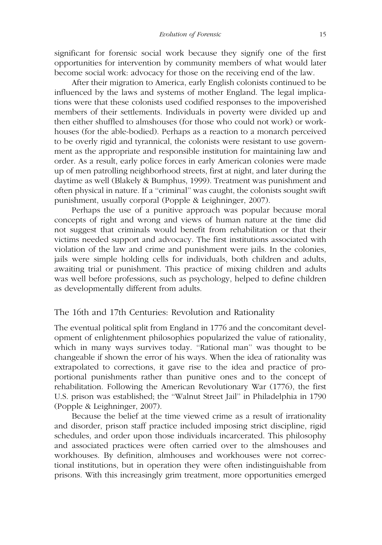significant for forensic social work because they signify one of the first opportunities for intervention by community members of what would later become social work: advocacy for those on the receiving end of the law.

After their migration to America, early English colonists continued to be influenced by the laws and systems of mother England. The legal implications were that these colonists used codified responses to the impoverished members of their settlements. Individuals in poverty were divided up and then either shuffled to almshouses (for those who could not work) or workhouses (for the able-bodied). Perhaps as a reaction to a monarch perceived to be overly rigid and tyrannical, the colonists were resistant to use government as the appropriate and responsible institution for maintaining law and order. As a result, early police forces in early American colonies were made up of men patrolling neighborhood streets, first at night, and later during the daytime as well (Blakely & Bumphus, 1999). Treatment was punishment and often physical in nature. If a ''criminal'' was caught, the colonists sought swift punishment, usually corporal (Popple & Leighninger, 2007).

Perhaps the use of a punitive approach was popular because moral concepts of right and wrong and views of human nature at the time did not suggest that criminals would benefit from rehabilitation or that their victims needed support and advocacy. The first institutions associated with violation of the law and crime and punishment were jails. In the colonies, jails were simple holding cells for individuals, both children and adults, awaiting trial or punishment. This practice of mixing children and adults was well before professions, such as psychology, helped to define children as developmentally different from adults.

# The 16th and 17th Centuries: Revolution and Rationality

The eventual political split from England in 1776 and the concomitant development of enlightenment philosophies popularized the value of rationality, which in many ways survives today. ''Rational man'' was thought to be changeable if shown the error of his ways. When the idea of rationality was extrapolated to corrections, it gave rise to the idea and practice of proportional punishments rather than punitive ones and to the concept of rehabilitation. Following the American Revolutionary War (1776), the first U.S. prison was established; the ''Walnut Street Jail'' in Philadelphia in 1790 (Popple & Leighninger, 2007).

Because the belief at the time viewed crime as a result of irrationality and disorder, prison staff practice included imposing strict discipline, rigid schedules, and order upon those individuals incarcerated. This philosophy and associated practices were often carried over to the almshouses and workhouses. By definition, almhouses and workhouses were not correctional institutions, but in operation they were often indistinguishable from prisons. With this increasingly grim treatment, more opportunities emerged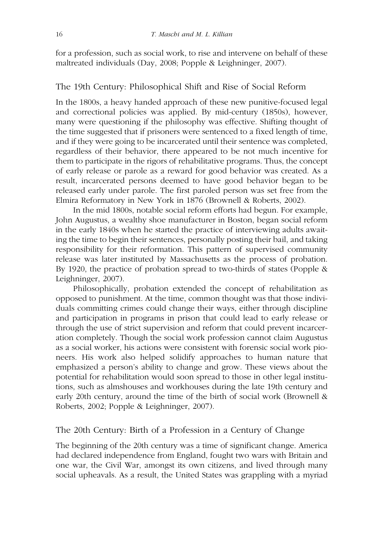for a profession, such as social work, to rise and intervene on behalf of these maltreated individuals (Day, 2008; Popple & Leighninger, 2007).

# The 19th Century: Philosophical Shift and Rise of Social Reform

In the 1800s, a heavy handed approach of these new punitive-focused legal and correctional policies was applied. By mid-century (1850s), however, many were questioning if the philosophy was effective. Shifting thought of the time suggested that if prisoners were sentenced to a fixed length of time, and if they were going to be incarcerated until their sentence was completed, regardless of their behavior, there appeared to be not much incentive for them to participate in the rigors of rehabilitative programs. Thus, the concept of early release or parole as a reward for good behavior was created. As a result, incarcerated persons deemed to have good behavior began to be released early under parole. The first paroled person was set free from the Elmira Reformatory in New York in 1876 (Brownell & Roberts, 2002).

In the mid 1800s, notable social reform efforts had begun. For example, John Augustus, a wealthy shoe manufacturer in Boston, began social reform in the early 1840s when he started the practice of interviewing adults awaiting the time to begin their sentences, personally posting their bail, and taking responsibility for their reformation. This pattern of supervised community release was later instituted by Massachusetts as the process of probation. By 1920, the practice of probation spread to two-thirds of states (Popple & Leighninger, 2007).

Philosophically, probation extended the concept of rehabilitation as opposed to punishment. At the time, common thought was that those individuals committing crimes could change their ways, either through discipline and participation in programs in prison that could lead to early release or through the use of strict supervision and reform that could prevent incarceration completely. Though the social work profession cannot claim Augustus as a social worker, his actions were consistent with forensic social work pioneers. His work also helped solidify approaches to human nature that emphasized a person's ability to change and grow. These views about the potential for rehabilitation would soon spread to those in other legal institutions, such as almshouses and workhouses during the late 19th century and early 20th century, around the time of the birth of social work (Brownell & Roberts, 2002; Popple & Leighninger, 2007).

# The 20th Century: Birth of a Profession in a Century of Change

The beginning of the 20th century was a time of significant change. America had declared independence from England, fought two wars with Britain and one war, the Civil War, amongst its own citizens, and lived through many social upheavals. As a result, the United States was grappling with a myriad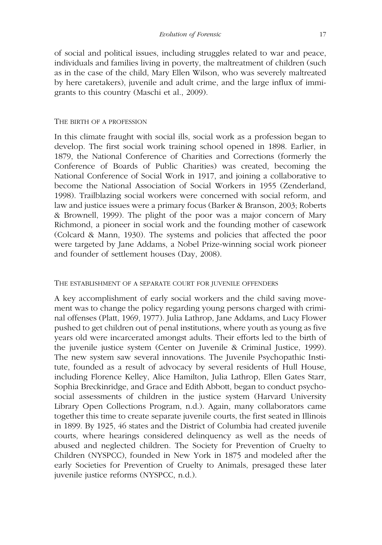of social and political issues, including struggles related to war and peace, individuals and families living in poverty, the maltreatment of children (such as in the case of the child, Mary Ellen Wilson, who was severely maltreated by here caretakers), juvenile and adult crime, and the large influx of immigrants to this country (Maschi et al., 2009).

#### THE BIRTH OF A PROFESSION

In this climate fraught with social ills, social work as a profession began to develop. The first social work training school opened in 1898. Earlier, in 1879, the National Conference of Charities and Corrections (formerly the Conference of Boards of Public Charities) was created, becoming the National Conference of Social Work in 1917, and joining a collaborative to become the National Association of Social Workers in 1955 (Zenderland, 1998). Trailblazing social workers were concerned with social reform, and law and justice issues were a primary focus (Barker & Branson, 2003; Roberts & Brownell, 1999). The plight of the poor was a major concern of Mary Richmond, a pioneer in social work and the founding mother of casework (Colcard & Mann, 1930). The systems and policies that affected the poor were targeted by Jane Addams, a Nobel Prize-winning social work pioneer and founder of settlement houses (Day, 2008).

## THE ESTABLISHMENT OF A SEPARATE COURT FOR JUVENILE OFFENDERS

A key accomplishment of early social workers and the child saving movement was to change the policy regarding young persons charged with criminal offenses (Platt, 1969, 1977). Julia Lathrop, Jane Addams, and Lucy Flower pushed to get children out of penal institutions, where youth as young as five years old were incarcerated amongst adults. Their efforts led to the birth of the juvenile justice system (Center on Juvenile & Criminal Justice, 1999). The new system saw several innovations. The Juvenile Psychopathic Institute, founded as a result of advocacy by several residents of Hull House, including Florence Kelley, Alice Hamilton, Julia Lathrop, Ellen Gates Starr, Sophia Breckinridge, and Grace and Edith Abbott, began to conduct psychosocial assessments of children in the justice system (Harvard University Library Open Collections Program, n.d.). Again, many collaborators came together this time to create separate juvenile courts, the first seated in Illinois in 1899. By 1925, 46 states and the District of Columbia had created juvenile courts, where hearings considered delinquency as well as the needs of abused and neglected children. The Society for Prevention of Cruelty to Children (NYSPCC), founded in New York in 1875 and modeled after the early Societies for Prevention of Cruelty to Animals, presaged these later juvenile justice reforms (NYSPCC, n.d.).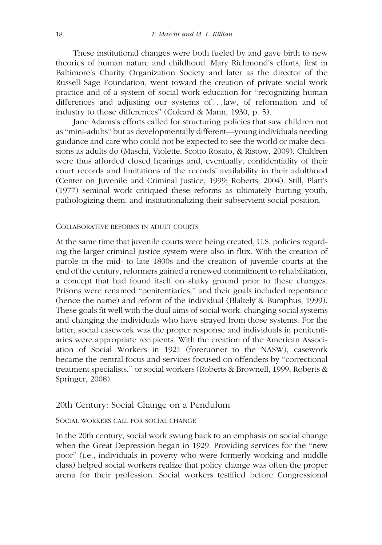These institutional changes were both fueled by and gave birth to new theories of human nature and childhood. Mary Richmond's efforts, first in Baltimore's Charity Organization Society and later as the director of the Russell Sage Foundation, went toward the creation of private social work practice and of a system of social work education for ''recognizing human differences and adjusting our systems of ... law, of reformation and of industry to those differences'' (Colcard & Mann, 1930, p. 5).

Jane Adams's efforts called for structuring policies that saw children not as ''mini-adults'' but as developmentally different—young individuals needing guidance and care who could not be expected to see the world or make decisions as adults do (Maschi, Violette, Scotto Rosato, & Ristow, 2009). Children were thus afforded closed hearings and, eventually, confidentiality of their court records and limitations of the records' availability in their adulthood (Center on Juvenile and Criminal Justice, 1999; Roberts, 2004). Still, Platt's (1977) seminal work critiqued these reforms as ultimately hurting youth, pathologizing them, and institutionalizing their subservient social position.

#### COLLABORATIVE REFORMS IN ADULT COURTS

At the same time that juvenile courts were being created, U.S. policies regarding the larger criminal justice system were also in flux. With the creation of parole in the mid- to late 1800s and the creation of juvenile courts at the end of the century, reformers gained a renewed commitment to rehabilitation, a concept that had found itself on shaky ground prior to these changes. Prisons were renamed ''penitentiaries,'' and their goals included repentance (hence the name) and reform of the individual (Blakely & Bumphus, 1999). These goals fit well with the dual aims of social work: changing social systems and changing the individuals who have strayed from those systems. For the latter, social casework was the proper response and individuals in penitentiaries were appropriate recipients. With the creation of the American Association of Social Workers in 1921 (forerunner to the NASW), casework became the central focus and services focused on offenders by ''correctional treatment specialists,'' or social workers (Roberts & Brownell, 1999; Roberts & Springer, 2008).

### 20th Century: Social Change on a Pendulum

#### SOCIAL WORKERS CALL FOR SOCIAL CHANGE

In the 20th century, social work swung back to an emphasis on social change when the Great Depression began in 1929. Providing services for the ''new poor'' (i.e., individuals in poverty who were formerly working and middle class) helped social workers realize that policy change was often the proper arena for their profession. Social workers testified before Congressional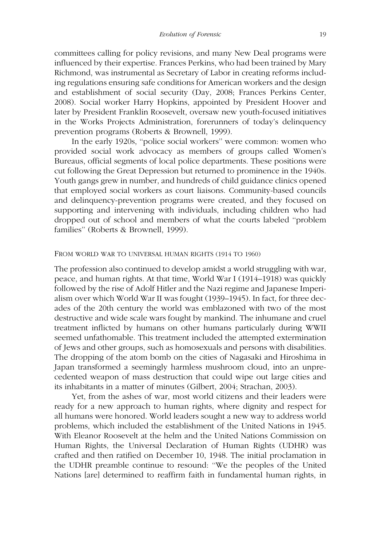committees calling for policy revisions, and many New Deal programs were influenced by their expertise. Frances Perkins, who had been trained by Mary Richmond, was instrumental as Secretary of Labor in creating reforms including regulations ensuring safe conditions for American workers and the design and establishment of social security (Day, 2008; Frances Perkins Center, 2008). Social worker Harry Hopkins, appointed by President Hoover and later by President Franklin Roosevelt, oversaw new youth-focused initiatives in the Works Projects Administration, forerunners of today's delinquency prevention programs (Roberts & Brownell, 1999).

In the early 1920s, ''police social workers'' were common: women who provided social work advocacy as members of groups called Women's Bureaus, official segments of local police departments. These positions were cut following the Great Depression but returned to prominence in the 1940s. Youth gangs grew in number, and hundreds of child guidance clinics opened that employed social workers as court liaisons. Community-based councils and delinquency-prevention programs were created, and they focused on supporting and intervening with individuals, including children who had dropped out of school and members of what the courts labeled ''problem families'' (Roberts & Brownell, 1999).

#### FROM WORLD WAR TO UNIVERSAL HUMAN RIGHTS (1914 TO 1960)

The profession also continued to develop amidst a world struggling with war, peace, and human rights. At that time, World War I (1914–1918) was quickly followed by the rise of Adolf Hitler and the Nazi regime and Japanese Imperialism over which World War II was fought (1939–1945). In fact, for three decades of the 20th century the world was emblazoned with two of the most destructive and wide scale wars fought by mankind. The inhumane and cruel treatment inflicted by humans on other humans particularly during WWII seemed unfathomable. This treatment included the attempted extermination of Jews and other groups, such as homosexuals and persons with disabilities. The dropping of the atom bomb on the cities of Nagasaki and Hiroshima in Japan transformed a seemingly harmless mushroom cloud, into an unprecedented weapon of mass destruction that could wipe out large cities and its inhabitants in a matter of minutes (Gilbert, 2004; Strachan, 2003).

Yet, from the ashes of war, most world citizens and their leaders were ready for a new approach to human rights, where dignity and respect for all humans were honored. World leaders sought a new way to address world problems, which included the establishment of the United Nations in 1945. With Eleanor Roosevelt at the helm and the United Nations Commission on Human Rights, the Universal Declaration of Human Rights (UDHR) was crafted and then ratified on December 10, 1948. The initial proclamation in the UDHR preamble continue to resound: ''We the peoples of the United Nations [are] determined to reaffirm faith in fundamental human rights, in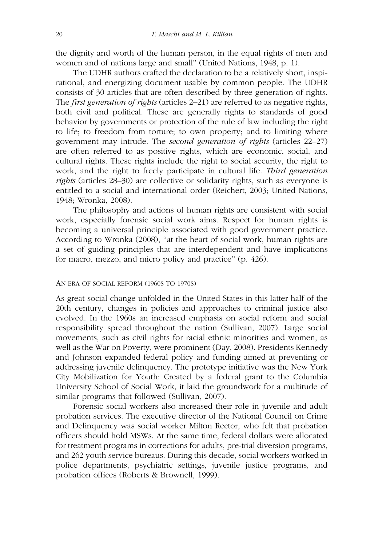the dignity and worth of the human person, in the equal rights of men and women and of nations large and small'' (United Nations, 1948, p. 1).

The UDHR authors crafted the declaration to be a relatively short, inspirational, and energizing document usable by common people. The UDHR consists of 30 articles that are often described by three generation of rights. The *first generation of rights* (articles 2–21) are referred to as negative rights, both civil and political. These are generally rights to standards of good behavior by governments or protection of the rule of law including the right to life; to freedom from torture; to own property; and to limiting where government may intrude. The second generation of rights (articles 22–27) are often referred to as positive rights, which are economic, social, and cultural rights. These rights include the right to social security, the right to work, and the right to freely participate in cultural life. Third generation rights (articles 28–30) are collective or solidarity rights, such as everyone is entitled to a social and international order (Reichert, 2003; United Nations, 1948; Wronka, 2008).

The philosophy and actions of human rights are consistent with social work, especially forensic social work aims. Respect for human rights is becoming a universal principle associated with good government practice. According to Wronka (2008), ''at the heart of social work, human rights are a set of guiding principles that are interdependent and have implications for macro, mezzo, and micro policy and practice'' (p. 426).

#### AN ERA OF SOCIAL REFORM (1960S TO 1970S)

As great social change unfolded in the United States in this latter half of the 20th century, changes in policies and approaches to criminal justice also evolved. In the 1960s an increased emphasis on social reform and social responsibility spread throughout the nation (Sullivan, 2007). Large social movements, such as civil rights for racial ethnic minorities and women, as well as the War on Poverty, were prominent (Day, 2008). Presidents Kennedy and Johnson expanded federal policy and funding aimed at preventing or addressing juvenile delinquency. The prototype initiative was the New York City Mobilization for Youth: Created by a federal grant to the Columbia University School of Social Work, it laid the groundwork for a multitude of similar programs that followed (Sullivan, 2007).

Forensic social workers also increased their role in juvenile and adult probation services. The executive director of the National Council on Crime and Delinquency was social worker Milton Rector, who felt that probation officers should hold MSWs. At the same time, federal dollars were allocated for treatment programs in corrections for adults, pre-trial diversion programs, and 262 youth service bureaus. During this decade, social workers worked in police departments, psychiatric settings, juvenile justice programs, and probation offices (Roberts & Brownell, 1999).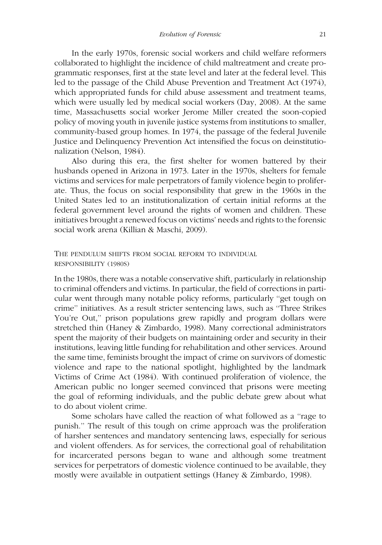In the early 1970s, forensic social workers and child welfare reformers collaborated to highlight the incidence of child maltreatment and create programmatic responses, first at the state level and later at the federal level. This led to the passage of the Child Abuse Prevention and Treatment Act (1974), which appropriated funds for child abuse assessment and treatment teams, which were usually led by medical social workers (Day, 2008). At the same time, Massachusetts social worker Jerome Miller created the soon-copied policy of moving youth in juvenile justice systems from institutions to smaller, community-based group homes. In 1974, the passage of the federal Juvenile Justice and Delinquency Prevention Act intensified the focus on deinstitutionalization (Nelson, 1984).

Also during this era, the first shelter for women battered by their husbands opened in Arizona in 1973. Later in the 1970s, shelters for female victims and services for male perpetrators of family violence begin to proliferate. Thus, the focus on social responsibility that grew in the 1960s in the United States led to an institutionalization of certain initial reforms at the federal government level around the rights of women and children. These initiatives brought a renewed focus on victims' needs and rights to the forensic social work arena (Killian & Maschi, 2009).

# THE PENDULUM SHIFTS FROM SOCIAL REFORM TO INDIVIDUAL RESPONSIBILITY (1980S)

In the 1980s, there was a notable conservative shift, particularly in relationship to criminal offenders and victims. In particular, the field of corrections in particular went through many notable policy reforms, particularly ''get tough on crime'' initiatives. As a result stricter sentencing laws, such as ''Three Strikes You're Out,'' prison populations grew rapidly and program dollars were stretched thin (Haney & Zimbardo, 1998). Many correctional administrators spent the majority of their budgets on maintaining order and security in their institutions, leaving little funding for rehabilitation and other services. Around the same time, feminists brought the impact of crime on survivors of domestic violence and rape to the national spotlight, highlighted by the landmark Victims of Crime Act (1984). With continued proliferation of violence, the American public no longer seemed convinced that prisons were meeting the goal of reforming individuals, and the public debate grew about what to do about violent crime.

Some scholars have called the reaction of what followed as a ''rage to punish.'' The result of this tough on crime approach was the proliferation of harsher sentences and mandatory sentencing laws, especially for serious and violent offenders. As for services, the correctional goal of rehabilitation for incarcerated persons began to wane and although some treatment services for perpetrators of domestic violence continued to be available, they mostly were available in outpatient settings (Haney & Zimbardo, 1998).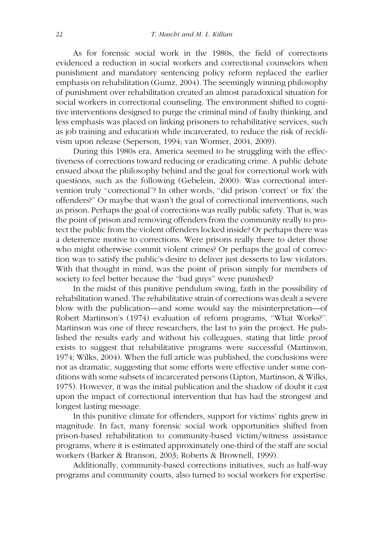As for forensic social work in the 1980s, the field of corrections evidenced a reduction in social workers and correctional counselors when punishment and mandatory sentencing policy reform replaced the earlier emphasis on rehabilitation (Gumz, 2004). The seemingly winning philosophy of punishment over rehabilitation created an almost paradoxical situation for social workers in correctional counseling. The environment shifted to cognitive interventions designed to purge the criminal mind of faulty thinking, and less emphasis was placed on linking prisoners to rehabilitative services, such as job training and education while incarcerated, to reduce the risk of recidivism upon release (Seperson, 1994; van Wormer, 2004, 2009).

During this 1980s era, America seemed to be struggling with the effectiveness of corrections toward reducing or eradicating crime. A public debate ensued about the philosophy behind and the goal for correctional work with questions, such as the following (Gebelein, 2000): Was correctional intervention truly ''correctional''? In other words, ''did prison 'correct' or 'fix' the offenders?'' Or maybe that wasn't the goal of correctional interventions, such as prison. Perhaps the goal of corrections was really public safety. That is, was the point of prison and removing offenders from the community really to protect the public from the violent offenders locked inside? Or perhaps there was a deterrence motive to corrections. Were prisons really there to deter those who might otherwise commit violent crimes? Or perhaps the goal of correction was to satisfy the public's desire to deliver just desserts to law violators. With that thought in mind, was the point of prison simply for members of society to feel better because the ''bad guys'' were punished?

In the midst of this punitive pendulum swing, faith in the possibility of rehabilitation waned. The rehabilitative strain of corrections was dealt a severe blow with the publication—and some would say the misinterpretation—of Robert Martinson's (1974) evaluation of reform programs, ''What Works?''. Martinson was one of three researchers, the last to join the project. He published the results early and without his colleagues, stating that little proof exists to suggest that rehabilitative programs were successful (Martinson, 1974; Wilks, 2004). When the full article was published, the conclusions were not as dramatic, suggesting that some efforts were effective under some conditions with some subsets of incarcerated persons (Lipton, Martinson, & Wilks, 1975). However, it was the initial publication and the shadow of doubt it cast upon the impact of correctional intervention that has had the strongest and longest lasting message.

In this punitive climate for offenders, support for victims' rights grew in magnitude. In fact, many forensic social work opportunities shifted from prison-based rehabilitation to community-based victim/witness assistance programs, where it is estimated approximately one-third of the staff are social workers (Barker & Branson, 2003; Roberts & Brownell, 1999).

Additionally, community-based corrections initiatives, such as half-way programs and community courts, also turned to social workers for expertise.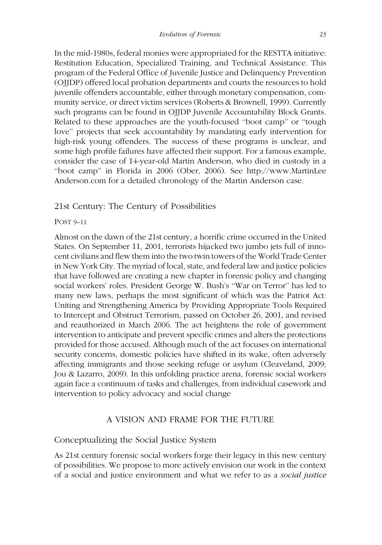In the mid-1980s, federal monies were appropriated for the RESTTA initiative: Restitution Education, Specialized Training, and Technical Assistance. This program of the Federal Office of Juvenile Justice and Delinquency Prevention (OJJDP) offered local probation departments and courts the resources to hold juvenile offenders accountable, either through monetary compensation, community service, or direct victim services (Roberts & Brownell, 1999). Currently such programs can be found in OJJDP Juvenile Accountability Block Grants. Related to these approaches are the youth-focused ''boot camp'' or ''tough love'' projects that seek accountability by mandating early intervention for high-risk young offenders. The success of these programs is unclear, and some high profile failures have affected their support. For a famous example, consider the case of 14-year-old Martin Anderson, who died in custody in a ''boot camp'' in Florida in 2006 (Ober, 2006). See http://www.MartinLee Anderson.com for a detailed chronology of the Martin Anderson case.

21st Century: The Century of Possibilities

## POST 9–11

Almost on the dawn of the 21st century, a horrific crime occurred in the United States. On September 11, 2001, terrorists hijacked two jumbo jets full of innocent civilians and flew them into the two twin towers of the World Trade Center in New York City. The myriad of local, state, and federal law and justice policies that have followed are creating a new chapter in forensic policy and changing social workers' roles. President George W. Bush's ''War on Terror'' has led to many new laws, perhaps the most significant of which was the Patriot Act: Uniting and Strengthening America by Providing Appropriate Tools Required to Intercept and Obstruct Terrorism, passed on October 26, 2001, and revised and reauthorized in March 2006. The act heightens the role of government intervention to anticipate and prevent specific crimes and alters the protections provided for those accused. Although much of the act focuses on international security concerns, domestic policies have shifted in its wake, often adversely affecting immigrants and those seeking refuge or asylum (Cleaveland, 2009; Jou & Lazarro, 2009). In this unfolding practice arena, forensic social workers again face a continuum of tasks and challenges, from individual casework and intervention to policy advocacy and social change

# A VISION AND FRAME FOR THE FUTURE

## Conceptualizing the Social Justice System

As 21st century forensic social workers forge their legacy in this new century of possibilities. We propose to more actively envision our work in the context of a social and justice environment and what we refer to as a social justice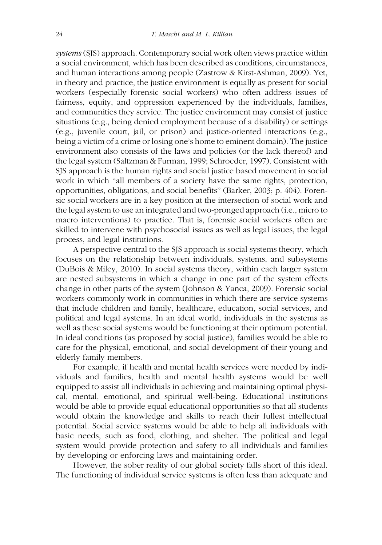systems (SJS) approach. Contemporary social work often views practice within a social environment, which has been described as conditions, circumstances, and human interactions among people (Zastrow & Kirst-Ashman, 2009). Yet, in theory and practice, the justice environment is equally as present for social workers (especially forensic social workers) who often address issues of fairness, equity, and oppression experienced by the individuals, families, and communities they service. The justice environment may consist of justice situations (e.g., being denied employment because of a disability) or settings (e.g., juvenile court, jail, or prison) and justice-oriented interactions (e.g., being a victim of a crime or losing one's home to eminent domain). The justice environment also consists of the laws and policies (or the lack thereof) and the legal system (Saltzman & Furman, 1999; Schroeder, 1997). Consistent with SJS approach is the human rights and social justice based movement in social work in which "all members of a society have the same rights, protection, opportunities, obligations, and social benefits'' (Barker, 2003; p. 404). Forensic social workers are in a key position at the intersection of social work and the legal system to use an integrated and two-pronged approach (i.e., micro to macro interventions) to practice. That is, forensic social workers often are skilled to intervene with psychosocial issues as well as legal issues, the legal process, and legal institutions.

A perspective central to the SJS approach is social systems theory, which focuses on the relationship between individuals, systems, and subsystems (DuBois & Miley, 2010). In social systems theory, within each larger system are nested subsystems in which a change in one part of the system effects change in other parts of the system (Johnson & Yanca, 2009). Forensic social workers commonly work in communities in which there are service systems that include children and family, healthcare, education, social services, and political and legal systems. In an ideal world, individuals in the systems as well as these social systems would be functioning at their optimum potential. In ideal conditions (as proposed by social justice), families would be able to care for the physical, emotional, and social development of their young and elderly family members.

For example, if health and mental health services were needed by individuals and families, health and mental health systems would be well equipped to assist all individuals in achieving and maintaining optimal physical, mental, emotional, and spiritual well-being. Educational institutions would be able to provide equal educational opportunities so that all students would obtain the knowledge and skills to reach their fullest intellectual potential. Social service systems would be able to help all individuals with basic needs, such as food, clothing, and shelter. The political and legal system would provide protection and safety to all individuals and families by developing or enforcing laws and maintaining order.

However, the sober reality of our global society falls short of this ideal. The functioning of individual service systems is often less than adequate and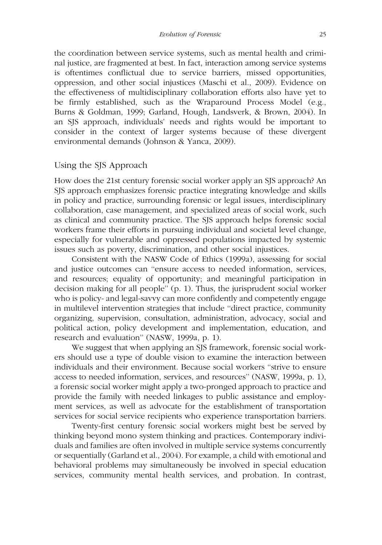the coordination between service systems, such as mental health and criminal justice, are fragmented at best. In fact, interaction among service systems is oftentimes conflictual due to service barriers, missed opportunities, oppression, and other social injustices (Maschi et al., 2009). Evidence on the effectiveness of multidisciplinary collaboration efforts also have yet to be firmly established, such as the Wraparound Process Model (e.g., Burns & Goldman, 1999; Garland, Hough, Landsverk, & Brown, 2004). In an SJS approach, individuals' needs and rights would be important to consider in the context of larger systems because of these divergent environmental demands (Johnson & Yanca, 2009).

## Using the SJS Approach

How does the 21st century forensic social worker apply an SJS approach? An SJS approach emphasizes forensic practice integrating knowledge and skills in policy and practice, surrounding forensic or legal issues, interdisciplinary collaboration, case management, and specialized areas of social work, such as clinical and community practice. The SJS approach helps forensic social workers frame their efforts in pursuing individual and societal level change, especially for vulnerable and oppressed populations impacted by systemic issues such as poverty, discrimination, and other social injustices.

Consistent with the NASW Code of Ethics (1999a), assessing for social and justice outcomes can ''ensure access to needed information, services, and resources; equality of opportunity; and meaningful participation in decision making for all people'' (p. 1). Thus, the jurisprudent social worker who is policy- and legal-savvy can more confidently and competently engage in multilevel intervention strategies that include ''direct practice, community organizing, supervision, consultation, administration, advocacy, social and political action, policy development and implementation, education, and research and evaluation'' (NASW, 1999a, p. 1).

We suggest that when applying an SJS framework, forensic social workers should use a type of double vision to examine the interaction between individuals and their environment. Because social workers ''strive to ensure access to needed information, services, and resources'' (NASW, 1999a, p. 1), a forensic social worker might apply a two-pronged approach to practice and provide the family with needed linkages to public assistance and employment services, as well as advocate for the establishment of transportation services for social service recipients who experience transportation barriers.

Twenty-first century forensic social workers might best be served by thinking beyond mono system thinking and practices. Contemporary individuals and families are often involved in multiple service systems concurrently or sequentially (Garland et al., 2004). For example, a child with emotional and behavioral problems may simultaneously be involved in special education services, community mental health services, and probation. In contrast,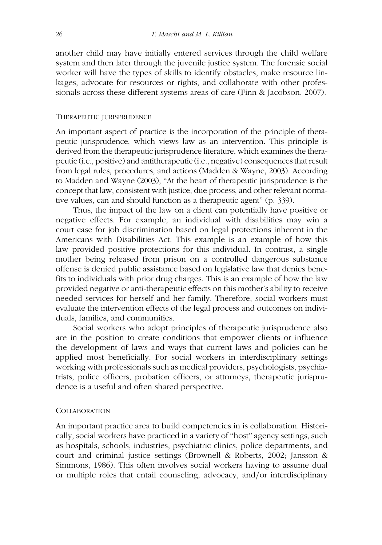another child may have initially entered services through the child welfare system and then later through the juvenile justice system. The forensic social worker will have the types of skills to identify obstacles, make resource linkages, advocate for resources or rights, and collaborate with other professionals across these different systems areas of care (Finn & Jacobson, 2007).

#### THERAPEUTIC JURISPRUDENCE

An important aspect of practice is the incorporation of the principle of therapeutic jurisprudence, which views law as an intervention. This principle is derived from the therapeutic jurisprudence literature, which examines the therapeutic (i.e., positive) and antitherapeutic (i.e., negative) consequences that result from legal rules, procedures, and actions (Madden & Wayne, 2003). According to Madden and Wayne (2003), ''At the heart of therapeutic jurisprudence is the concept that law, consistent with justice, due process, and other relevant normative values, can and should function as a therapeutic agent'' (p. 339).

Thus, the impact of the law on a client can potentially have positive or negative effects. For example, an individual with disabilities may win a court case for job discrimination based on legal protections inherent in the Americans with Disabilities Act. This example is an example of how this law provided positive protections for this individual. In contrast, a single mother being released from prison on a controlled dangerous substance offense is denied public assistance based on legislative law that denies benefits to individuals with prior drug charges. This is an example of how the law provided negative or anti-therapeutic effects on this mother's ability to receive needed services for herself and her family. Therefore, social workers must evaluate the intervention effects of the legal process and outcomes on individuals, families, and communities.

Social workers who adopt principles of therapeutic jurisprudence also are in the position to create conditions that empower clients or influence the development of laws and ways that current laws and policies can be applied most beneficially. For social workers in interdisciplinary settings working with professionals such as medical providers, psychologists, psychiatrists, police officers, probation officers, or attorneys, therapeutic jurisprudence is a useful and often shared perspective.

#### **COLLABORATION**

An important practice area to build competencies in is collaboration. Historically, social workers have practiced in a variety of ''host'' agency settings, such as hospitals, schools, industries, psychiatric clinics, police departments, and court and criminal justice settings (Brownell & Roberts, 2002; Jansson & Simmons, 1986). This often involves social workers having to assume dual or multiple roles that entail counseling, advocacy, and/or interdisciplinary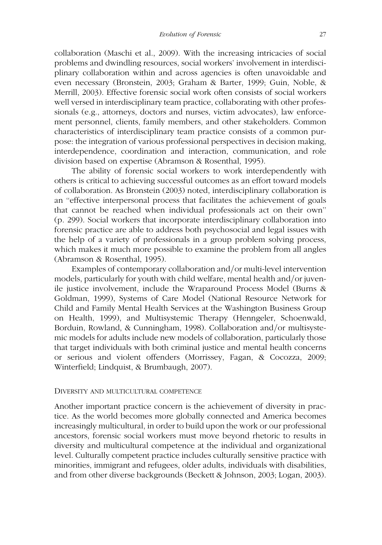collaboration (Maschi et al., 2009). With the increasing intricacies of social problems and dwindling resources, social workers' involvement in interdisciplinary collaboration within and across agencies is often unavoidable and even necessary (Bronstein, 2003; Graham & Barter, 1999; Guin, Noble, & Merrill, 2003). Effective forensic social work often consists of social workers well versed in interdisciplinary team practice, collaborating with other professionals (e.g., attorneys, doctors and nurses, victim advocates), law enforcement personnel, clients, family members, and other stakeholders. Common characteristics of interdisciplinary team practice consists of a common purpose: the integration of various professional perspectives in decision making, interdependence, coordination and interaction, communication, and role division based on expertise (Abramson & Rosenthal, 1995).

The ability of forensic social workers to work interdependently with others is critical to achieving successful outcomes as an effort toward models of collaboration. As Bronstein (2003) noted, interdisciplinary collaboration is an ''effective interpersonal process that facilitates the achievement of goals that cannot be reached when individual professionals act on their own'' (p. 299). Social workers that incorporate interdisciplinary collaboration into forensic practice are able to address both psychosocial and legal issues with the help of a variety of professionals in a group problem solving process, which makes it much more possible to examine the problem from all angles (Abramson & Rosenthal, 1995).

Examples of contemporary collaboration and/or multi-level intervention models, particularly for youth with child welfare, mental health and/or juvenile justice involvement, include the Wraparound Process Model (Burns & Goldman, 1999), Systems of Care Model (National Resource Network for Child and Family Mental Health Services at the Washington Business Group on Health, 1999), and Multisystemic Therapy (Henngeler, Schoenwald, Borduin, Rowland, & Cunningham, 1998). Collaboration and/or multisystemic models for adults include new models of collaboration, particularly those that target individuals with both criminal justice and mental health concerns or serious and violent offenders (Morrissey, Fagan, & Cocozza, 2009; Winterfield; Lindquist, & Brumbaugh, 2007).

#### DIVERSITY AND MULTICULTURAL COMPETENCE

Another important practice concern is the achievement of diversity in practice. As the world becomes more globally connected and America becomes increasingly multicultural, in order to build upon the work or our professional ancestors, forensic social workers must move beyond rhetoric to results in diversity and multicultural competence at the individual and organizational level. Culturally competent practice includes culturally sensitive practice with minorities, immigrant and refugees, older adults, individuals with disabilities, and from other diverse backgrounds (Beckett & Johnson, 2003; Logan, 2003).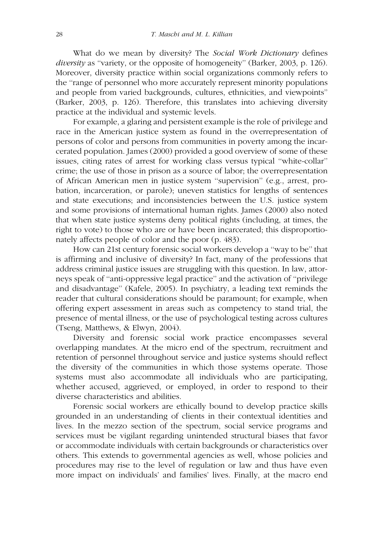What do we mean by diversity? The *Social Work Dictionary* defines diversity as "variety, or the opposite of homogeneity" (Barker, 2003, p. 126). Moreover, diversity practice within social organizations commonly refers to the ''range of personnel who more accurately represent minority populations and people from varied backgrounds, cultures, ethnicities, and viewpoints'' (Barker, 2003, p. 126). Therefore, this translates into achieving diversity practice at the individual and systemic levels.

For example, a glaring and persistent example is the role of privilege and race in the American justice system as found in the overrepresentation of persons of color and persons from communities in poverty among the incarcerated population. James (2000) provided a good overview of some of these issues, citing rates of arrest for working class versus typical ''white-collar'' crime; the use of those in prison as a source of labor; the overrepresentation of African American men in justice system ''supervision'' (e.g., arrest, probation, incarceration, or parole); uneven statistics for lengths of sentences and state executions; and inconsistencies between the U.S. justice system and some provisions of international human rights. James (2000) also noted that when state justice systems deny political rights (including, at times, the right to vote) to those who are or have been incarcerated; this disproportionately affects people of color and the poor (p. 483).

How can 21st century forensic social workers develop a ''way to be'' that is affirming and inclusive of diversity? In fact, many of the professions that address criminal justice issues are struggling with this question. In law, attorneys speak of ''anti-oppressive legal practice'' and the activation of ''privilege and disadvantage'' (Kafele, 2005). In psychiatry, a leading text reminds the reader that cultural considerations should be paramount; for example, when offering expert assessment in areas such as competency to stand trial, the presence of mental illness, or the use of psychological testing across cultures (Tseng, Matthews, & Elwyn, 2004).

Diversity and forensic social work practice encompasses several overlapping mandates. At the micro end of the spectrum, recruitment and retention of personnel throughout service and justice systems should reflect the diversity of the communities in which those systems operate. Those systems must also accommodate all individuals who are participating, whether accused, aggrieved, or employed, in order to respond to their diverse characteristics and abilities.

Forensic social workers are ethically bound to develop practice skills grounded in an understanding of clients in their contextual identities and lives. In the mezzo section of the spectrum, social service programs and services must be vigilant regarding unintended structural biases that favor or accommodate individuals with certain backgrounds or characteristics over others. This extends to governmental agencies as well, whose policies and procedures may rise to the level of regulation or law and thus have even more impact on individuals' and families' lives. Finally, at the macro end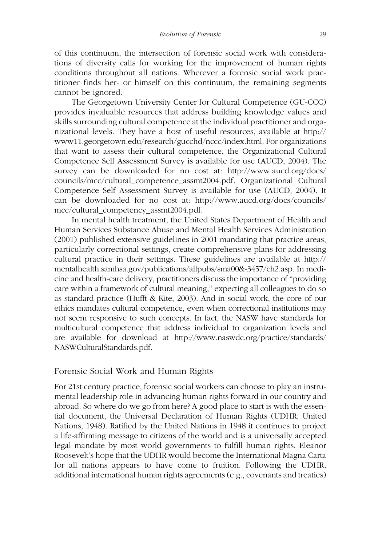of this continuum, the intersection of forensic social work with considerations of diversity calls for working for the improvement of human rights conditions throughout all nations. Wherever a forensic social work practitioner finds her- or himself on this continuum, the remaining segments cannot be ignored.

The Georgetown University Center for Cultural Competence (GU-CCC) provides invaluable resources that address building knowledge values and skills surrounding cultural competence at the individual practitioner and organizational levels. They have a host of useful resources, available at http:// www11.georgetown.edu/research/gucchd/nccc/index.html. For organizations that want to assess their cultural competence, the Organizational Cultural Competence Self Assessment Survey is available for use (AUCD, 2004). The survey can be downloaded for no cost at: http://www.aucd.org/docs/ councils/mcc/cultural\_competence\_assmt2004.pdf. Organizational Cultural Competence Self Assessment Survey is available for use (AUCD, 2004). It can be downloaded for no cost at: http://www.aucd.org/docs/councils/ mcc/cultural\_competency\_assmt2004.pdf.

In mental health treatment, the United States Department of Health and Human Services Substance Abuse and Mental Health Services Administration (2001) published extensive guidelines in 2001 mandating that practice areas, particularly correctional settings, create comprehensive plans for addressing cultural practice in their settings. These guidelines are available at http:// mentalhealth.samhsa.gov/publications/allpubs/sma00&-3457/ch2.asp. In medicine and health-care delivery, practitioners discuss the importance of ''providing care within a framework of cultural meaning,'' expecting all colleagues to do so as standard practice (Hufft & Kite, 2003). And in social work, the core of our ethics mandates cultural competence, even when correctional institutions may not seem responsive to such concepts. In fact, the NASW have standards for multicultural competence that address individual to organization levels and are available for download at http://www.naswdc.org/practice/standards/ NASWCulturalStandards.pdf.

# Forensic Social Work and Human Rights

For 21st century practice, forensic social workers can choose to play an instrumental leadership role in advancing human rights forward in our country and abroad. So where do we go from here? A good place to start is with the essential document, the Universal Declaration of Human Rights (UDHR; United Nations, 1948). Ratified by the United Nations in 1948 it continues to project a life-affirming message to citizens of the world and is a universally accepted legal mandate by most world governments to fulfill human rights. Eleanor Roosevelt's hope that the UDHR would become the International Magna Carta for all nations appears to have come to fruition. Following the UDHR, additional international human rights agreements (e.g., covenants and treaties)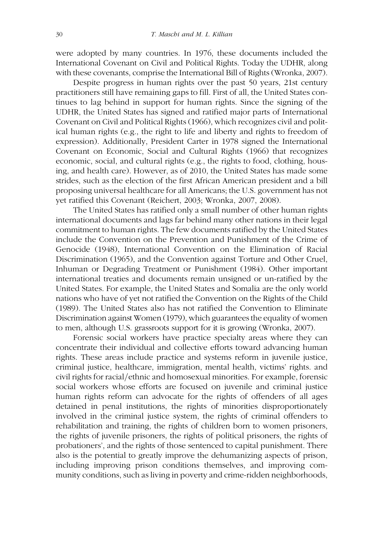were adopted by many countries. In 1976, these documents included the International Covenant on Civil and Political Rights. Today the UDHR, along with these covenants, comprise the International Bill of Rights (Wronka, 2007).

Despite progress in human rights over the past 50 years, 21st century practitioners still have remaining gaps to fill. First of all, the United States continues to lag behind in support for human rights. Since the signing of the UDHR, the United States has signed and ratified major parts of International Covenant on Civil and Political Rights (1966), which recognizes civil and political human rights (e.g., the right to life and liberty and rights to freedom of expression). Additionally, President Carter in 1978 signed the International Covenant on Economic, Social and Cultural Rights (1966) that recognizes economic, social, and cultural rights (e.g., the rights to food, clothing, housing, and health care). However, as of 2010, the United States has made some strides, such as the election of the first African American president and a bill proposing universal healthcare for all Americans; the U.S. government has not yet ratified this Covenant (Reichert, 2003; Wronka, 2007, 2008).

The United States has ratified only a small number of other human rights international documents and lags far behind many other nations in their legal commitment to human rights. The few documents ratified by the United States include the Convention on the Prevention and Punishment of the Crime of Genocide (1948), International Convention on the Elimination of Racial Discrimination (1965), and the Convention against Torture and Other Cruel, Inhuman or Degrading Treatment or Punishment (1984). Other important international treaties and documents remain unsigned or un-ratified by the United States. For example, the United States and Somalia are the only world nations who have of yet not ratified the Convention on the Rights of the Child (1989). The United States also has not ratified the Convention to Eliminate Discrimination against Women (1979), which guarantees the equality of women to men, although U.S. grassroots support for it is growing (Wronka, 2007).

Forensic social workers have practice specialty areas where they can concentrate their individual and collective efforts toward advancing human rights. These areas include practice and systems reform in juvenile justice, criminal justice, healthcare, immigration, mental health, victims' rights. and civil rights for racial/ethnic and homosexual minorities. For example, forensic social workers whose efforts are focused on juvenile and criminal justice human rights reform can advocate for the rights of offenders of all ages detained in penal institutions, the rights of minorities disproportionately involved in the criminal justice system, the rights of criminal offenders to rehabilitation and training, the rights of children born to women prisoners, the rights of juvenile prisoners, the rights of political prisoners, the rights of probationers', and the rights of those sentenced to capital punishment. There also is the potential to greatly improve the dehumanizing aspects of prison, including improving prison conditions themselves, and improving community conditions, such as living in poverty and crime-ridden neighborhoods,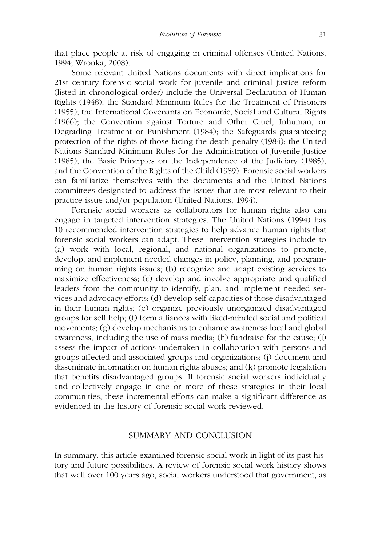that place people at risk of engaging in criminal offenses (United Nations, 1994; Wronka, 2008).

Some relevant United Nations documents with direct implications for 21st century forensic social work for juvenile and criminal justice reform (listed in chronological order) include the Universal Declaration of Human Rights (1948); the Standard Minimum Rules for the Treatment of Prisoners (1955); the International Covenants on Economic, Social and Cultural Rights (1966); the Convention against Torture and Other Cruel, Inhuman, or Degrading Treatment or Punishment (1984); the Safeguards guaranteeing protection of the rights of those facing the death penalty (1984); the United Nations Standard Minimum Rules for the Administration of Juvenile Justice (1985); the Basic Principles on the Independence of the Judiciary (1985); and the Convention of the Rights of the Child (1989). Forensic social workers can familiarize themselves with the documents and the United Nations committees designated to address the issues that are most relevant to their practice issue and/or population (United Nations, 1994).

Forensic social workers as collaborators for human rights also can engage in targeted intervention strategies. The United Nations (1994) has 10 recommended intervention strategies to help advance human rights that forensic social workers can adapt. These intervention strategies include to (a) work with local, regional, and national organizations to promote, develop, and implement needed changes in policy, planning, and programming on human rights issues; (b) recognize and adapt existing services to maximize effectiveness; (c) develop and involve appropriate and qualified leaders from the community to identify, plan, and implement needed services and advocacy efforts; (d) develop self capacities of those disadvantaged in their human rights; (e) organize previously unorganized disadvantaged groups for self help; (f) form alliances with liked-minded social and political movements; (g) develop mechanisms to enhance awareness local and global awareness, including the use of mass media; (h) fundraise for the cause; (i) assess the impact of actions undertaken in collaboration with persons and groups affected and associated groups and organizations; (j) document and disseminate information on human rights abuses; and (k) promote legislation that benefits disadvantaged groups. If forensic social workers individually and collectively engage in one or more of these strategies in their local communities, these incremental efforts can make a significant difference as evidenced in the history of forensic social work reviewed.

# SUMMARY AND CONCLUSION

In summary, this article examined forensic social work in light of its past history and future possibilities. A review of forensic social work history shows that well over 100 years ago, social workers understood that government, as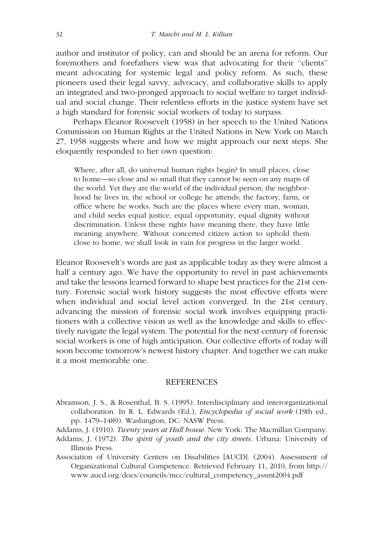author and institutor of policy, can and should be an arena for reform. Our foremothers and forefathers view was that advocating for their ''clients'' meant advocating for systemic legal and policy reform. As such, these pioneers used their legal savvy, advocacy, and collaborative skills to apply an integrated and two-pronged approach to social welfare to target individual and social change. Their relentless efforts in the justice system have set a high standard for forensic social workers of today to surpass.

Perhaps Eleanor Roosevelt (1958) in her speech to the United Nations Commission on Human Rights at the United Nations in New York on March 27, 1958 suggests where and how we might approach our next steps. She eloquently responded to her own question:

Where, after all, do universal human rights begin? In small places, close to home—so close and so small that they cannot be seen on any maps of the world. Yet they are the world of the individual person; the neighborhood he lives in; the school or college he attends; the factory, farm, or office where he works. Such are the places where every man, woman, and child seeks equal justice, equal opportunity, equal dignity without discrimination. Unless these rights have meaning there, they have little meaning anywhere. Without concerted citizen action to uphold them close to home, we shall look in vain for progress in the larger world.

Eleanor Roosevelt's words are just as applicable today as they were almost a half a century ago. We have the opportunity to revel in past achievements and take the lessons learned forward to shape best practices for the 21st century. Forensic social work history suggests the most effective efforts were when individual and social level action converged. In the 21st century, advancing the mission of forensic social work involves equipping practitioners with a collective vision as well as the knowledge and skills to effectively navigate the legal system. The potential for the next century of forensic social workers is one of high anticipation. Our collective efforts of today will soon become tomorrow's newest history chapter. And together we can make it a most memorable one.

#### **REFERENCES**

- Abramson, J. S., & Rosenthal, B. S. (1995). Interdisciplinary and interorganizational collaboration. In R. L. Edwards (Ed.), Encyclopedia of social work (19th ed., pp. 1479–1489). Washington, DC: NASW Press.
- Addams, J. (1910). Twenty years at Hull house. New York: The Macmillan Company.
- Addams, J. (1972). The spirit of youth and the city streets. Urbana: University of Illinois Press.
- Association of University Centers on Disabilities [AUCD]. (2004). Assessment of Organizational Cultural Competence. Retrieved February 11, 2010, from http:// www.aucd.org/docs/councils/mcc/cultural\_competency\_assmt2004.pdf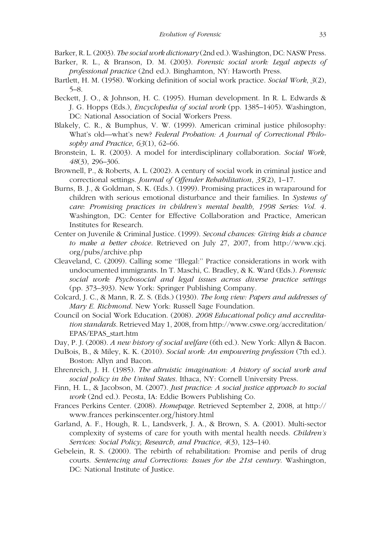- Barker, R. L. (2003). The social work dictionary (2nd ed.). Washington, DC: NASW Press.
- Barker, R. L., & Branson, D. M. (2003). Forensic social work: Legal aspects of professional practice (2nd ed.). Binghamton, NY: Haworth Press.
- Bartlett, H. M. (1958). Working definition of social work practice. Social Work, 3(2), 5–8.
- Beckett, J. O., & Johnson, H. C. (1995). Human development. In R. L. Edwards & J. G. Hopps (Eds.), Encyclopedia of social work (pp. 1385–1405). Washington, DC: National Association of Social Workers Press.
- Blakely, C. R., & Bumphus, V. W. (1999). American criminal justice philosophy: What's old—what's new? Federal Probation: A Journal of Correctional Philosophy and Practice,  $63(1)$ ,  $62-66$ .
- Bronstein, L. R. (2003). A model for interdisciplinary collaboration. Social Work, 48(3), 296–306.
- Brownell, P., & Roberts, A. L. (2002). A century of social work in criminal justice and correctional settings. Journal of Offender Rehabilitation, 35(2), 1–17.
- Burns, B. J., & Goldman, S. K. (Eds.). (1999). Promising practices in wraparound for children with serious emotional disturbance and their families. In Systems of care: Promising practices in children's mental health, 1998 Series: Vol. 4. Washington, DC: Center for Effective Collaboration and Practice, American Institutes for Research.
- Center on Juvenile & Criminal Justice. (1999). Second chances: Giving kids a chance to make a better choice. Retrieved on July 27, 2007, from http://www.cjcj.  $org/pubs/archive.php$
- Cleaveland, C. (2009). Calling some ''Illegal:'' Practice considerations in work with undocumented immigrants. In T. Maschi, C. Bradley, & K. Ward (Eds.). Forensic social work: Psychosocial and legal issues across diverse practice settings (pp. 373–393). New York: Springer Publishing Company.
- Colcard, J. C., & Mann, R. Z. S. (Eds.) (1930). The long view: Papers and addresses of Mary E. Richmond. New York: Russell Sage Foundation.
- Council on Social Work Education. (2008). 2008 Educational policy and accreditation standards. Retrieved May 1, 2008, from http://www.cswe.org/accreditation/ EPAS/EPAS\_start.htm
- Day, P. J. (2008). A new history of social welfare (6th ed.). New York: Allyn & Bacon.
- DuBois, B., & Miley, K. K. (2010). Social work: An empowering profession (7th ed.). Boston: Allyn and Bacon.
- Ehrenreich, J. H. (1985). The altruistic imagination: A history of social work and social policy in the United States. Ithaca, NY: Cornell University Press.
- Finn, H. L., & Jacobson, M. (2007). Just practice: A social justice approach to social work (2nd ed.). Peosta, IA: Eddie Bowers Publishing Co.
- Frances Perkins Center. (2008). Homepage. Retrieved September 2, 2008, at http:// www.frances perkinscenter.org/history.html
- Garland, A. F., Hough, R. L., Landsverk, J. A., & Brown, S. A. (2001). Multi-sector complexity of systems of care for youth with mental health needs. Children's Services: Social Policy, Research, and Practice, 4(3), 123-140.
- Gebelein, R. S. (2000). The rebirth of rehabilitation: Promise and perils of drug courts. Sentencing and Corrections: Issues for the 21st century. Washington, DC: National Institute of Justice.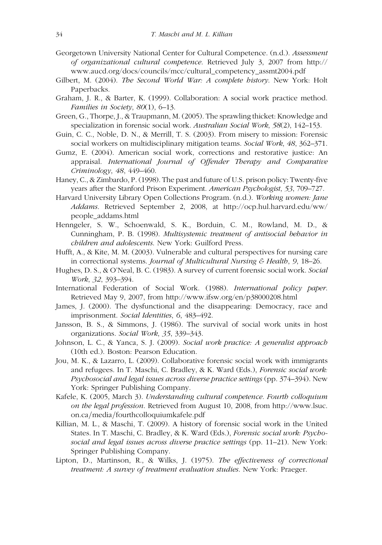- Georgetown University National Center for Cultural Competence. (n.d.). Assessment of organizational cultural competence. Retrieved July 3, 2007 from http:// www.aucd.org/docs/councils/mcc/cultural\_competency\_assmt2004.pdf
- Gilbert, M. (2004). The Second World War: A complete history. New York: Holt Paperbacks.
- Graham, J. R., & Barter, K. (1999). Collaboration: A social work practice method. Families in Society, 80(1), 6–13.
- Green, G., Thorpe, J., & Traupmann, M. (2005). The sprawling thicket: Knowledge and specialization in forensic social work. Australian Social Work, 58(2), 142–153.
- Guin, C. C., Noble, D. N., & Merrill, T. S. (2003). From misery to mission: Forensic social workers on multidisciplinary mitigation teams. Social Work, 48, 362–371.
- Gumz, E. (2004). American social work, corrections and restorative justice: An appraisal. International Journal of Offender Therapy and Comparative  $Criminology, 48, 449–460.$
- Haney, C., & Zimbardo, P. (1998). The past and future of U.S. prison policy: Twenty-five years after the Stanford Prison Experiment. American Psychologist, 53, 709–727.
- Harvard University Library Open Collections Program. (n.d.). Working women: Jane Addams. Retrieved September 2, 2008, at http://ocp.hul.harvard.edu/ww/ people\_addams.html
- Henngeler, S. W., Schoenwald, S. K., Borduin, C. M., Rowland, M. D., & Cunningham, P. B. (1998). Multisystemic treatment of antisocial behavior in children and adolescents. New York: Guilford Press.
- Hufft, A., & Kite, M. M. (2003). Vulnerable and cultural perspectives for nursing care in correctional systems. Journal of Multicultural Nursing  $\mathcal E$  Health, 9, 18–26.
- Hughes, D. S., & O'Neal, B. C. (1983). A survey of current forensic social work. Social Work, 32, 393–394.
- International Federation of Social Work. (1988). International policy paper. Retrieved May 9, 2007, from http://www.ifsw.org/en/p38000208.html
- James, J. (2000). The dysfunctional and the disappearing: Democracy, race and imprisonment. Social Identities, 6, 483-492.
- Jansson, B. S., & Simmons, J. (1986). The survival of social work units in host organizations. Social Work, 35, 339–343.
- Johnson, L. C., & Yanca, S. J. (2009). Social work practice: A generalist approach (10th ed.). Boston: Pearson Education.
- Jou, M. K., & Lazarro, L. (2009). Collaborative forensic social work with immigrants and refugees. In T. Maschi, C. Bradley, & K. Ward (Eds.), Forensic social work: Psychosocial and legal issues across diverse practice settings (pp. 374–394). New York: Springer Publishing Company.
- Kafele, K. (2005, March 3). Understanding cultural competence. Fourth colloquium on the legal profession. Retrieved from August 10, 2008, from http://www.lsuc. on.ca/media/fourthcolloquiumkafele.pdf
- Killian, M. L., & Maschi, T. (2009). A history of forensic social work in the United States. In T. Maschi, C. Bradley, & K. Ward (Eds.), Forensic social work: Psychosocial and legal issues across diverse practice settings (pp. 11-21). New York: Springer Publishing Company.
- Lipton, D., Martinson, R., & Wilks, J. (1975). The effectiveness of correctional treatment: A survey of treatment evaluation studies. New York: Praeger.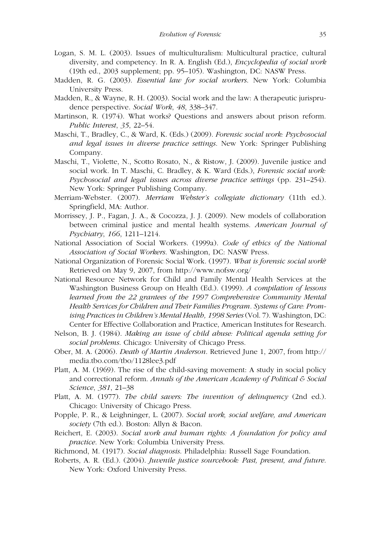- Logan, S. M. L. (2003). Issues of multiculturalism: Multicultural practice, cultural diversity, and competency. In R. A. English (Ed.), Encyclopedia of social work (19th ed., 2003 supplement; pp. 95–105). Washington, DC: NASW Press.
- Madden, R. G. (2003). Essential law for social workers. New York: Columbia University Press.
- Madden, R., & Wayne, R. H. (2003). Social work and the law: A therapeutic jurisprudence perspective. Social Work, 48, 338–347.
- Martinson, R. (1974). What works? Questions and answers about prison reform. Public Interest, 35, 22–54.
- Maschi, T., Bradley, C., & Ward, K. (Eds.) (2009). Forensic social work: Psychosocial and legal issues in diverse practice settings. New York: Springer Publishing Company.
- Maschi, T., Violette, N., Scotto Rosato, N., & Ristow, J. (2009). Juvenile justice and social work. In T. Maschi, C. Bradley, & K. Ward (Eds.), Forensic social work: Psychosocial and legal issues across diverse practice settings (pp. 231–254). New York: Springer Publishing Company.
- Merriam-Webster. (2007). Merriam Webster's collegiate dictionary (11th ed.). Springfield, MA: Author.
- Morrissey, J. P., Fagan, J. A., & Cocozza, J. J. (2009). New models of collaboration between criminal justice and mental health systems. American Journal of Psychiatry, 166, 1211–1214.
- National Association of Social Workers. (1999a). Code of ethics of the National Association of Social Workers. Washington, DC: NASW Press.
- National Organization of Forensic Social Work. (1997). What is forensic social work? Retrieved on May 9, 2007, from http://www.nofsw.org/
- National Resource Network for Child and Family Mental Health Services at the Washington Business Group on Health (Ed.). (1999). A compilation of lessons learned from the 22 grantees of the 1997 Comprehensive Community Mental Health Services for Children and Their Families Program. Systems of Care: Promising Practices in Children's Mental Health, 1998 Series (Vol. 7). Washington, DC: Center for Effective Collaboration and Practice, American Institutes for Research.
- Nelson, B. J. (1984). Making an issue of child abuse: Political agenda setting for social problems. Chicago: University of Chicago Press.
- Ober, M. A. (2006). Death of Martin Anderson. Retrieved June 1, 2007, from http:// media.tbo.com/tbo/1128lee3.pdf
- Platt, A. M. (1969). The rise of the child-saving movement: A study in social policy and correctional reform. Annals of the American Academy of Political  $\epsilon$  Social Science, 381, 21–38
- Platt, A. M. (1977). The child savers: The invention of delinquency (2nd ed.). Chicago: University of Chicago Press.
- Popple, P. R., & Leighninger, L. (2007). Social work, social welfare, and American society (7th ed.). Boston: Allyn & Bacon.
- Reichert, E. (2003). Social work and human rights: A foundation for policy and practice. New York: Columbia University Press.
- Richmond, M. (1917). Social diagnosis. Philadelphia: Russell Sage Foundation.
- Roberts, A. R. (Ed.). (2004). Juvenile justice sourcebook: Past, present, and future. New York: Oxford University Press.